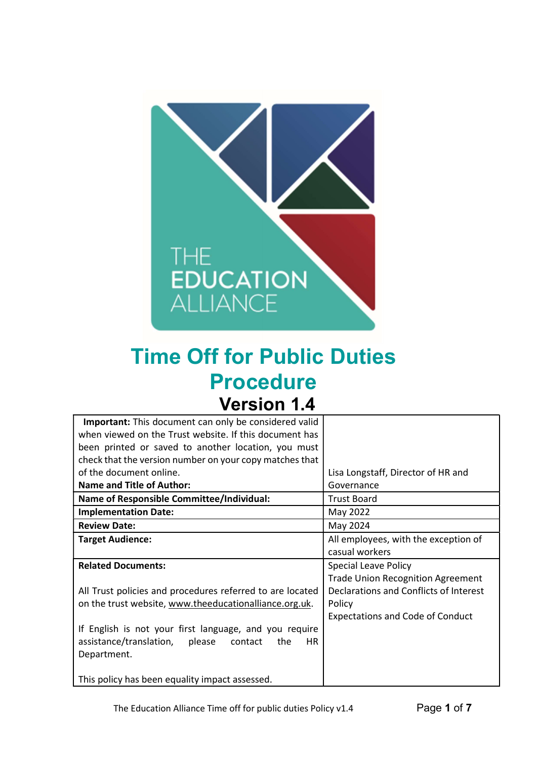

# Time Off for Public Duties Procedure Version 1.4

| Lisa Longstaff, Director of HR and       |
|------------------------------------------|
| Governance                               |
| <b>Trust Board</b>                       |
| May 2022                                 |
| May 2024                                 |
| All employees, with the exception of     |
| casual workers                           |
| <b>Special Leave Policy</b>              |
| <b>Trade Union Recognition Agreement</b> |
| Declarations and Conflicts of Interest   |
| Policy                                   |
| <b>Expectations and Code of Conduct</b>  |
|                                          |
|                                          |
|                                          |
|                                          |
|                                          |
|                                          |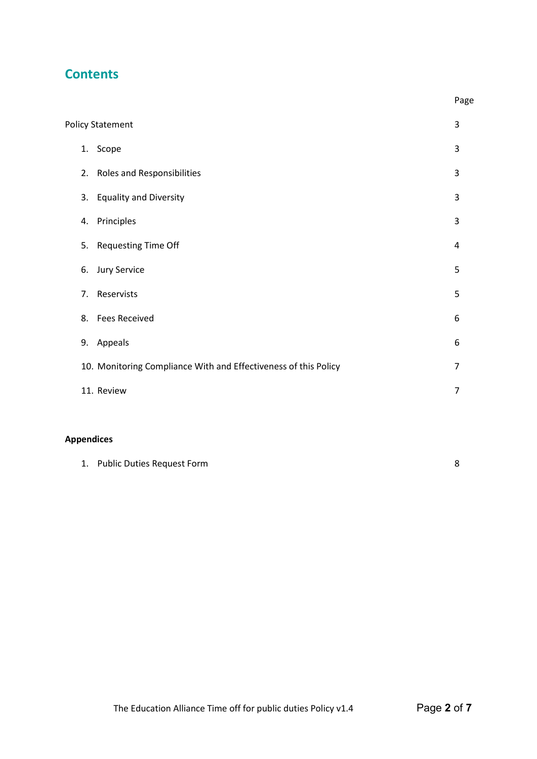# **Contents**

|                                                                 | Page           |
|-----------------------------------------------------------------|----------------|
| <b>Policy Statement</b>                                         | 3              |
| Scope<br>1.                                                     | 3              |
| <b>Roles and Responsibilities</b><br>2.                         | 3              |
| <b>Equality and Diversity</b><br>3.                             | 3              |
| Principles<br>4.                                                | 3              |
| <b>Requesting Time Off</b><br>5.                                | 4              |
| <b>Jury Service</b><br>6.                                       | 5              |
| Reservists<br>7.                                                | 5              |
| <b>Fees Received</b><br>8.                                      | 6              |
| Appeals<br>9.                                                   | 6              |
| 10. Monitoring Compliance With and Effectiveness of this Policy | 7              |
| 11. Review                                                      | $\overline{7}$ |
|                                                                 |                |

# Appendices

|  | 1. Public Duties Request Form |  |
|--|-------------------------------|--|
|--|-------------------------------|--|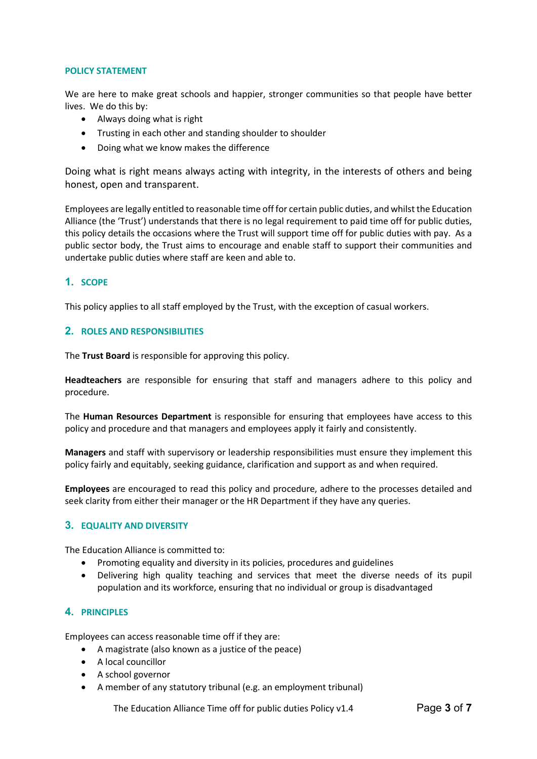#### POLICY STATEMENT

We are here to make great schools and happier, stronger communities so that people have better lives. We do this by:

- Always doing what is right
- Trusting in each other and standing shoulder to shoulder
- Doing what we know makes the difference

Doing what is right means always acting with integrity, in the interests of others and being honest, open and transparent.

Employees are legally entitled to reasonable time off for certain public duties, and whilst the Education Alliance (the 'Trust') understands that there is no legal requirement to paid time off for public duties, this policy details the occasions where the Trust will support time off for public duties with pay. As a public sector body, the Trust aims to encourage and enable staff to support their communities and undertake public duties where staff are keen and able to.

#### 1. SCOPE

This policy applies to all staff employed by the Trust, with the exception of casual workers.

#### 2. ROLES AND RESPONSIBILITIES

The Trust Board is responsible for approving this policy.

Headteachers are responsible for ensuring that staff and managers adhere to this policy and procedure.

The Human Resources Department is responsible for ensuring that employees have access to this policy and procedure and that managers and employees apply it fairly and consistently.

Managers and staff with supervisory or leadership responsibilities must ensure they implement this policy fairly and equitably, seeking guidance, clarification and support as and when required.

Employees are encouraged to read this policy and procedure, adhere to the processes detailed and seek clarity from either their manager or the HR Department if they have any queries.

#### 3. EQUALITY AND DIVERSITY

The Education Alliance is committed to:

- Promoting equality and diversity in its policies, procedures and guidelines
- Delivering high quality teaching and services that meet the diverse needs of its pupil population and its workforce, ensuring that no individual or group is disadvantaged

# 4. PRINCIPLES

Employees can access reasonable time off if they are:

- A magistrate (also known as a justice of the peace)
- A local councillor
- A school governor
- A member of any statutory tribunal (e.g. an employment tribunal)

The Education Alliance Time off for public duties Policy  $v1.4$  Page 3 of 7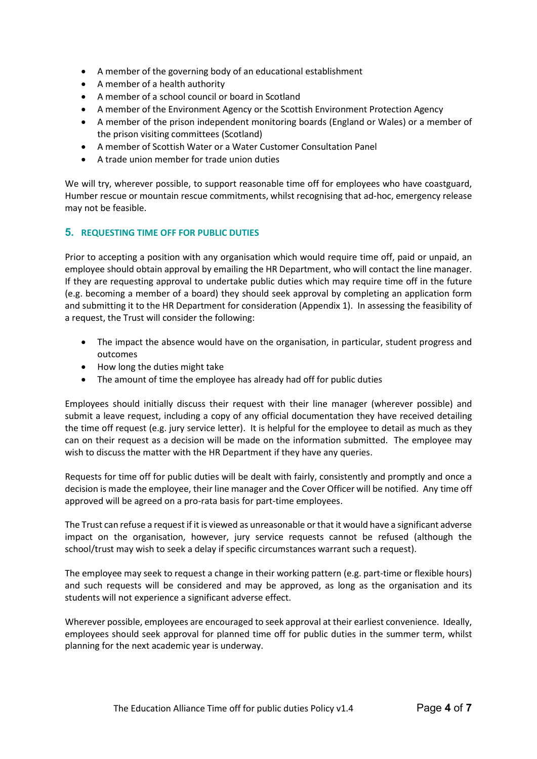- A member of the governing body of an educational establishment
- A member of a health authority
- A member of a school council or board in Scotland
- A member of the Environment Agency or the Scottish Environment Protection Agency
- A member of the prison independent monitoring boards (England or Wales) or a member of the prison visiting committees (Scotland)
- A member of Scottish Water or a Water Customer Consultation Panel
- A trade union member for trade union duties

We will try, wherever possible, to support reasonable time off for employees who have coastguard, Humber rescue or mountain rescue commitments, whilst recognising that ad-hoc, emergency release may not be feasible.

#### 5. REQUESTING TIME OFF FOR PUBLIC DUTIES

Prior to accepting a position with any organisation which would require time off, paid or unpaid, an employee should obtain approval by emailing the HR Department, who will contact the line manager. If they are requesting approval to undertake public duties which may require time off in the future (e.g. becoming a member of a board) they should seek approval by completing an application form and submitting it to the HR Department for consideration (Appendix 1). In assessing the feasibility of a request, the Trust will consider the following:

- The impact the absence would have on the organisation, in particular, student progress and outcomes
- How long the duties might take
- The amount of time the employee has already had off for public duties

Employees should initially discuss their request with their line manager (wherever possible) and submit a leave request, including a copy of any official documentation they have received detailing the time off request (e.g. jury service letter). It is helpful for the employee to detail as much as they can on their request as a decision will be made on the information submitted. The employee may wish to discuss the matter with the HR Department if they have any queries.

Requests for time off for public duties will be dealt with fairly, consistently and promptly and once a decision is made the employee, their line manager and the Cover Officer will be notified. Any time off approved will be agreed on a pro-rata basis for part-time employees.

The Trust can refuse a request if it is viewed as unreasonable or that it would have a significant adverse impact on the organisation, however, jury service requests cannot be refused (although the school/trust may wish to seek a delay if specific circumstances warrant such a request).

The employee may seek to request a change in their working pattern (e.g. part-time or flexible hours) and such requests will be considered and may be approved, as long as the organisation and its students will not experience a significant adverse effect.

Wherever possible, employees are encouraged to seek approval at their earliest convenience. Ideally, employees should seek approval for planned time off for public duties in the summer term, whilst planning for the next academic year is underway.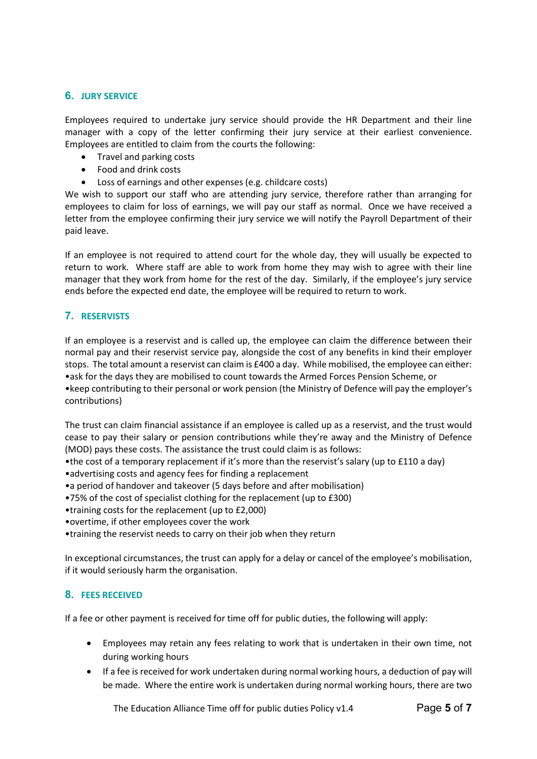## 6. JURY SERVICE

Employees required to undertake jury service should provide the HR Department and their line manager with a copy of the letter confirming their jury service at their earliest convenience. Employees are entitled to claim from the courts the following:

- Travel and parking costs
- Food and drink costs
- Loss of earnings and other expenses (e.g. childcare costs)

We wish to support our staff who are attending jury service, therefore rather than arranging for employees to claim for loss of earnings, we will pay our staff as normal. Once we have received a letter from the employee confirming their jury service we will notify the Payroll Department of their paid leave.

If an employee is not required to attend court for the whole day, they will usually be expected to return to work. Where staff are able to work from home they may wish to agree with their line manager that they work from home for the rest of the day. Similarly, if the employee's jury service ends before the expected end date, the employee will be required to return to work.

# 7. RESERVISTS

If an employee is a reservist and is called up, the employee can claim the difference between their normal pay and their reservist service pay, alongside the cost of any benefits in kind their employer stops. The total amount a reservist can claim is £400 a day. While mobilised, the employee can either: •ask for the days they are mobilised to count towards the Armed Forces Pension Scheme, or •keep contributing to their personal or work pension (the Ministry of Defence will pay the employer's contributions)

The trust can claim financial assistance if an employee is called up as a reservist, and the trust would cease to pay their salary or pension contributions while they're away and the Ministry of Defence (MOD) pays these costs. The assistance the trust could claim is as follows:

- •the cost of a temporary replacement if it's more than the reservist's salary (up to £110 a day)
- •advertising costs and agency fees for finding a replacement
- •a period of handover and takeover (5 days before and after mobilisation)
- •75% of the cost of specialist clothing for the replacement (up to £300)
- •training costs for the replacement (up to £2,000)
- •overtime, if other employees cover the work
- •training the reservist needs to carry on their job when they return

In exceptional circumstances, the trust can apply for a delay or cancel of the employee's mobilisation, if it would seriously harm the organisation.

# 8. FEES RECEIVED

If a fee or other payment is received for time off for public duties, the following will apply:

- Employees may retain any fees relating to work that is undertaken in their own time, not during working hours
- If a fee is received for work undertaken during normal working hours, a deduction of pay will be made. Where the entire work is undertaken during normal working hours, there are two

The Education Alliance Time off for public duties Policy  $v1.4$  Page 5 of 7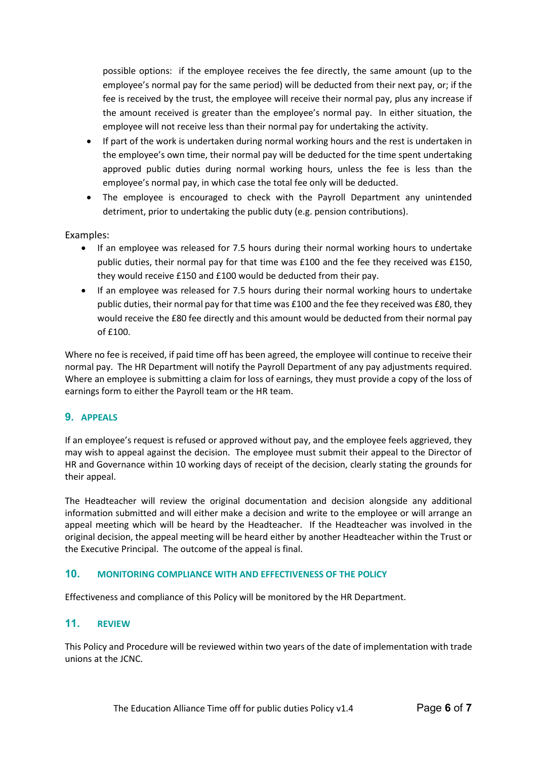possible options: if the employee receives the fee directly, the same amount (up to the employee's normal pay for the same period) will be deducted from their next pay, or; if the fee is received by the trust, the employee will receive their normal pay, plus any increase if the amount received is greater than the employee's normal pay. In either situation, the employee will not receive less than their normal pay for undertaking the activity.

- If part of the work is undertaken during normal working hours and the rest is undertaken in the employee's own time, their normal pay will be deducted for the time spent undertaking approved public duties during normal working hours, unless the fee is less than the employee's normal pay, in which case the total fee only will be deducted.
- The employee is encouraged to check with the Payroll Department any unintended detriment, prior to undertaking the public duty (e.g. pension contributions).

#### Examples:

- If an employee was released for 7.5 hours during their normal working hours to undertake public duties, their normal pay for that time was £100 and the fee they received was £150, they would receive £150 and £100 would be deducted from their pay.
- If an employee was released for 7.5 hours during their normal working hours to undertake public duties, their normal pay for that time was £100 and the fee they received was £80, they would receive the £80 fee directly and this amount would be deducted from their normal pay  $of f100.$

Where no fee is received, if paid time off has been agreed, the employee will continue to receive their normal pay. The HR Department will notify the Payroll Department of any pay adjustments required. Where an employee is submitting a claim for loss of earnings, they must provide a copy of the loss of earnings form to either the Payroll team or the HR team.

### 9. APPEALS

If an employee's request is refused or approved without pay, and the employee feels aggrieved, they may wish to appeal against the decision. The employee must submit their appeal to the Director of HR and Governance within 10 working days of receipt of the decision, clearly stating the grounds for their appeal.

The Headteacher will review the original documentation and decision alongside any additional information submitted and will either make a decision and write to the employee or will arrange an appeal meeting which will be heard by the Headteacher. If the Headteacher was involved in the original decision, the appeal meeting will be heard either by another Headteacher within the Trust or the Executive Principal. The outcome of the appeal is final.

# 10. MONITORING COMPLIANCE WITH AND EFFECTIVENESS OF THE POLICY

Effectiveness and compliance of this Policy will be monitored by the HR Department.

### 11. REVIEW

This Policy and Procedure will be reviewed within two years of the date of implementation with trade unions at the JCNC.